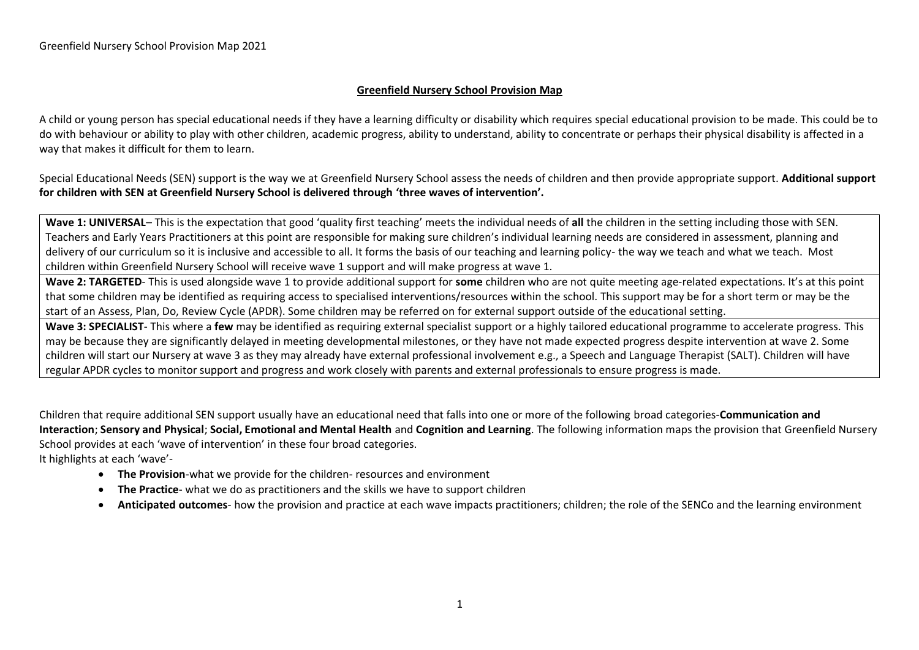## **Greenfield Nursery School Provision Map**

A child or young person has special educational needs if they have a learning difficulty or disability which requires special educational provision to be made. This could be to do with behaviour or ability to play with other children, academic progress, ability to understand, ability to concentrate or perhaps their physical disability is affected in a way that makes it difficult for them to learn.

Special Educational Needs (SEN) support is the way we at Greenfield Nursery School assess the needs of children and then provide appropriate support. **Additional support for children with SEN at Greenfield Nursery School is delivered through 'three waves of intervention'.**

**Wave 1: UNIVERSAL**– This is the expectation that good 'quality first teaching' meets the individual needs of **all** the children in the setting including those with SEN. Teachers and Early Years Practitioners at this point are responsible for making sure children's individual learning needs are considered in assessment, planning and delivery of our curriculum so it is inclusive and accessible to all. It forms the basis of our teaching and learning policy- the way we teach and what we teach. Most children within Greenfield Nursery School will receive wave 1 support and will make progress at wave 1.

**Wave 2: TARGETED**- This is used alongside wave 1 to provide additional support for **some** children who are not quite meeting age-related expectations. It's at this point that some children may be identified as requiring access to specialised interventions/resources within the school. This support may be for a short term or may be the start of an Assess, Plan, Do, Review Cycle (APDR). Some children may be referred on for external support outside of the educational setting.

**Wave 3: SPECIALIST**- This where a **few** may be identified as requiring external specialist support or a highly tailored educational programme to accelerate progress. This may be because they are significantly delayed in meeting developmental milestones, or they have not made expected progress despite intervention at wave 2. Some children will start our Nursery at wave 3 as they may already have external professional involvement e.g., a Speech and Language Therapist (SALT). Children will have regular APDR cycles to monitor support and progress and work closely with parents and external professionals to ensure progress is made.

Children that require additional SEN support usually have an educational need that falls into one or more of the following broad categories-**Communication and Interaction**; **Sensory and Physical**; **Social, Emotional and Mental Health** and **Cognition and Learning**. The following information maps the provision that Greenfield Nursery School provides at each 'wave of intervention' in these four broad categories.

It highlights at each 'wave'-

- **The Provision**-what we provide for the children- resources and environment
- **The Practice** what we do as practitioners and the skills we have to support children
- **Anticipated outcomes** how the provision and practice at each wave impacts practitioners; children; the role of the SENCo and the learning environment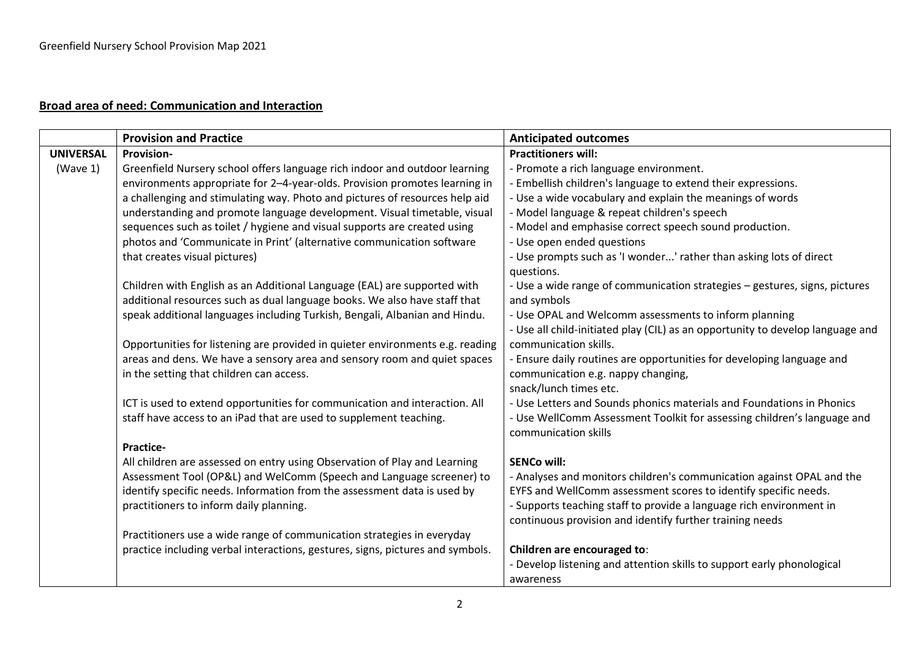## **Broad area of need: Communication and Interaction**

|                  | <b>Provision and Practice</b>                                                                                                                                                                                                                                                                                                                                                                                                                                                                                                                                                                                | <b>Anticipated outcomes</b>                                                                                                                                                                                                                                                                                                                                                                                                                                                                                                                                                                         |
|------------------|--------------------------------------------------------------------------------------------------------------------------------------------------------------------------------------------------------------------------------------------------------------------------------------------------------------------------------------------------------------------------------------------------------------------------------------------------------------------------------------------------------------------------------------------------------------------------------------------------------------|-----------------------------------------------------------------------------------------------------------------------------------------------------------------------------------------------------------------------------------------------------------------------------------------------------------------------------------------------------------------------------------------------------------------------------------------------------------------------------------------------------------------------------------------------------------------------------------------------------|
| <b>UNIVERSAL</b> | <b>Provision-</b>                                                                                                                                                                                                                                                                                                                                                                                                                                                                                                                                                                                            | <b>Practitioners will:</b>                                                                                                                                                                                                                                                                                                                                                                                                                                                                                                                                                                          |
| (Wave 1)         | Greenfield Nursery school offers language rich indoor and outdoor learning                                                                                                                                                                                                                                                                                                                                                                                                                                                                                                                                   | - Promote a rich language environment.                                                                                                                                                                                                                                                                                                                                                                                                                                                                                                                                                              |
|                  | environments appropriate for 2-4-year-olds. Provision promotes learning in                                                                                                                                                                                                                                                                                                                                                                                                                                                                                                                                   | - Embellish children's language to extend their expressions.                                                                                                                                                                                                                                                                                                                                                                                                                                                                                                                                        |
|                  | a challenging and stimulating way. Photo and pictures of resources help aid                                                                                                                                                                                                                                                                                                                                                                                                                                                                                                                                  | - Use a wide vocabulary and explain the meanings of words                                                                                                                                                                                                                                                                                                                                                                                                                                                                                                                                           |
|                  | understanding and promote language development. Visual timetable, visual                                                                                                                                                                                                                                                                                                                                                                                                                                                                                                                                     | - Model language & repeat children's speech                                                                                                                                                                                                                                                                                                                                                                                                                                                                                                                                                         |
|                  | sequences such as toilet / hygiene and visual supports are created using                                                                                                                                                                                                                                                                                                                                                                                                                                                                                                                                     | - Model and emphasise correct speech sound production.                                                                                                                                                                                                                                                                                                                                                                                                                                                                                                                                              |
|                  | photos and 'Communicate in Print' (alternative communication software                                                                                                                                                                                                                                                                                                                                                                                                                                                                                                                                        | - Use open ended questions                                                                                                                                                                                                                                                                                                                                                                                                                                                                                                                                                                          |
|                  | that creates visual pictures)                                                                                                                                                                                                                                                                                                                                                                                                                                                                                                                                                                                | - Use prompts such as 'I wonder' rather than asking lots of direct                                                                                                                                                                                                                                                                                                                                                                                                                                                                                                                                  |
|                  |                                                                                                                                                                                                                                                                                                                                                                                                                                                                                                                                                                                                              | questions.                                                                                                                                                                                                                                                                                                                                                                                                                                                                                                                                                                                          |
|                  | Children with English as an Additional Language (EAL) are supported with                                                                                                                                                                                                                                                                                                                                                                                                                                                                                                                                     | - Use a wide range of communication strategies - gestures, signs, pictures                                                                                                                                                                                                                                                                                                                                                                                                                                                                                                                          |
|                  | additional resources such as dual language books. We also have staff that                                                                                                                                                                                                                                                                                                                                                                                                                                                                                                                                    | and symbols                                                                                                                                                                                                                                                                                                                                                                                                                                                                                                                                                                                         |
|                  | speak additional languages including Turkish, Bengali, Albanian and Hindu.                                                                                                                                                                                                                                                                                                                                                                                                                                                                                                                                   | - Use OPAL and Welcomm assessments to inform planning                                                                                                                                                                                                                                                                                                                                                                                                                                                                                                                                               |
|                  |                                                                                                                                                                                                                                                                                                                                                                                                                                                                                                                                                                                                              | - Use all child-initiated play (CIL) as an opportunity to develop language and                                                                                                                                                                                                                                                                                                                                                                                                                                                                                                                      |
|                  | Opportunities for listening are provided in quieter environments e.g. reading                                                                                                                                                                                                                                                                                                                                                                                                                                                                                                                                | communication skills.                                                                                                                                                                                                                                                                                                                                                                                                                                                                                                                                                                               |
|                  | areas and dens. We have a sensory area and sensory room and quiet spaces                                                                                                                                                                                                                                                                                                                                                                                                                                                                                                                                     | - Ensure daily routines are opportunities for developing language and                                                                                                                                                                                                                                                                                                                                                                                                                                                                                                                               |
|                  | in the setting that children can access.                                                                                                                                                                                                                                                                                                                                                                                                                                                                                                                                                                     | communication e.g. nappy changing,                                                                                                                                                                                                                                                                                                                                                                                                                                                                                                                                                                  |
|                  |                                                                                                                                                                                                                                                                                                                                                                                                                                                                                                                                                                                                              | snack/lunch times etc.                                                                                                                                                                                                                                                                                                                                                                                                                                                                                                                                                                              |
|                  |                                                                                                                                                                                                                                                                                                                                                                                                                                                                                                                                                                                                              |                                                                                                                                                                                                                                                                                                                                                                                                                                                                                                                                                                                                     |
|                  |                                                                                                                                                                                                                                                                                                                                                                                                                                                                                                                                                                                                              |                                                                                                                                                                                                                                                                                                                                                                                                                                                                                                                                                                                                     |
|                  |                                                                                                                                                                                                                                                                                                                                                                                                                                                                                                                                                                                                              |                                                                                                                                                                                                                                                                                                                                                                                                                                                                                                                                                                                                     |
|                  |                                                                                                                                                                                                                                                                                                                                                                                                                                                                                                                                                                                                              |                                                                                                                                                                                                                                                                                                                                                                                                                                                                                                                                                                                                     |
|                  |                                                                                                                                                                                                                                                                                                                                                                                                                                                                                                                                                                                                              |                                                                                                                                                                                                                                                                                                                                                                                                                                                                                                                                                                                                     |
|                  |                                                                                                                                                                                                                                                                                                                                                                                                                                                                                                                                                                                                              |                                                                                                                                                                                                                                                                                                                                                                                                                                                                                                                                                                                                     |
|                  |                                                                                                                                                                                                                                                                                                                                                                                                                                                                                                                                                                                                              |                                                                                                                                                                                                                                                                                                                                                                                                                                                                                                                                                                                                     |
|                  |                                                                                                                                                                                                                                                                                                                                                                                                                                                                                                                                                                                                              |                                                                                                                                                                                                                                                                                                                                                                                                                                                                                                                                                                                                     |
|                  |                                                                                                                                                                                                                                                                                                                                                                                                                                                                                                                                                                                                              |                                                                                                                                                                                                                                                                                                                                                                                                                                                                                                                                                                                                     |
|                  |                                                                                                                                                                                                                                                                                                                                                                                                                                                                                                                                                                                                              |                                                                                                                                                                                                                                                                                                                                                                                                                                                                                                                                                                                                     |
|                  |                                                                                                                                                                                                                                                                                                                                                                                                                                                                                                                                                                                                              |                                                                                                                                                                                                                                                                                                                                                                                                                                                                                                                                                                                                     |
|                  |                                                                                                                                                                                                                                                                                                                                                                                                                                                                                                                                                                                                              |                                                                                                                                                                                                                                                                                                                                                                                                                                                                                                                                                                                                     |
|                  | ICT is used to extend opportunities for communication and interaction. All<br>staff have access to an iPad that are used to supplement teaching.<br><b>Practice-</b><br>All children are assessed on entry using Observation of Play and Learning<br>Assessment Tool (OP&L) and WelComm (Speech and Language screener) to<br>identify specific needs. Information from the assessment data is used by<br>practitioners to inform daily planning.<br>Practitioners use a wide range of communication strategies in everyday<br>practice including verbal interactions, gestures, signs, pictures and symbols. | - Use Letters and Sounds phonics materials and Foundations in Phonics<br>- Use WellComm Assessment Toolkit for assessing children's language and<br>communication skills<br><b>SENCo will:</b><br>- Analyses and monitors children's communication against OPAL and the<br>EYFS and WellComm assessment scores to identify specific needs.<br>- Supports teaching staff to provide a language rich environment in<br>continuous provision and identify further training needs<br>Children are encouraged to:<br>- Develop listening and attention skills to support early phonological<br>awareness |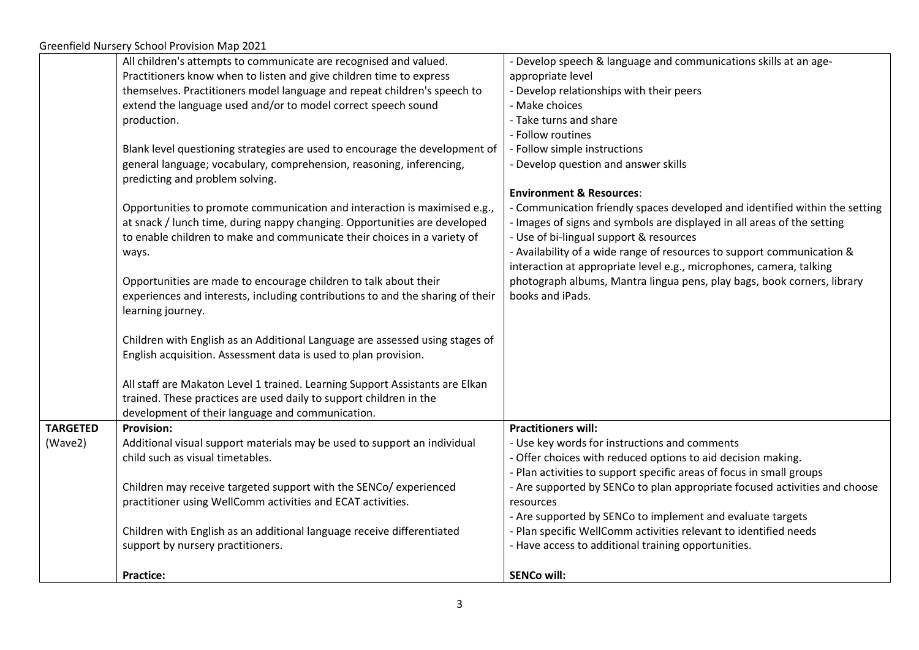|                 | All children's attempts to communicate are recognised and valued.                                       | - Develop speech & language and communications skills at an age-            |
|-----------------|---------------------------------------------------------------------------------------------------------|-----------------------------------------------------------------------------|
|                 | Practitioners know when to listen and give children time to express                                     | appropriate level                                                           |
|                 | themselves. Practitioners model language and repeat children's speech to                                | - Develop relationships with their peers                                    |
|                 | extend the language used and/or to model correct speech sound                                           | - Make choices                                                              |
|                 | production.                                                                                             | - Take turns and share                                                      |
|                 |                                                                                                         | - Follow routines                                                           |
|                 | Blank level questioning strategies are used to encourage the development of                             | - Follow simple instructions                                                |
|                 | general language; vocabulary, comprehension, reasoning, inferencing,<br>predicting and problem solving. | - Develop question and answer skills                                        |
|                 |                                                                                                         | <b>Environment &amp; Resources:</b>                                         |
|                 | Opportunities to promote communication and interaction is maximised e.g.,                               | - Communication friendly spaces developed and identified within the setting |
|                 | at snack / lunch time, during nappy changing. Opportunities are developed                               | - Images of signs and symbols are displayed in all areas of the setting     |
|                 | to enable children to make and communicate their choices in a variety of                                | - Use of bi-lingual support & resources                                     |
|                 | ways.                                                                                                   | - Availability of a wide range of resources to support communication &      |
|                 |                                                                                                         | interaction at appropriate level e.g., microphones, camera, talking         |
|                 | Opportunities are made to encourage children to talk about their                                        | photograph albums, Mantra lingua pens, play bags, book corners, library     |
|                 | experiences and interests, including contributions to and the sharing of their                          | books and iPads.                                                            |
|                 | learning journey.                                                                                       |                                                                             |
|                 |                                                                                                         |                                                                             |
|                 | Children with English as an Additional Language are assessed using stages of                            |                                                                             |
|                 | English acquisition. Assessment data is used to plan provision.                                         |                                                                             |
|                 |                                                                                                         |                                                                             |
|                 | All staff are Makaton Level 1 trained. Learning Support Assistants are Elkan                            |                                                                             |
|                 | trained. These practices are used daily to support children in the                                      |                                                                             |
|                 | development of their language and communication.                                                        |                                                                             |
| <b>TARGETED</b> | <b>Provision:</b>                                                                                       | <b>Practitioners will:</b>                                                  |
| (Wave2)         | Additional visual support materials may be used to support an individual                                | - Use key words for instructions and comments                               |
|                 | child such as visual timetables.                                                                        | - Offer choices with reduced options to aid decision making.                |
|                 |                                                                                                         | - Plan activities to support specific areas of focus in small groups        |
|                 | Children may receive targeted support with the SENCo/ experienced                                       | - Are supported by SENCo to plan appropriate focused activities and choose  |
|                 | practitioner using WellComm activities and ECAT activities.                                             | resources                                                                   |
|                 |                                                                                                         | - Are supported by SENCo to implement and evaluate targets                  |
|                 | Children with English as an additional language receive differentiated                                  | - Plan specific WellComm activities relevant to identified needs            |
|                 | support by nursery practitioners.                                                                       | - Have access to additional training opportunities.                         |
|                 |                                                                                                         |                                                                             |
|                 | <b>Practice:</b>                                                                                        | <b>SENCo will:</b>                                                          |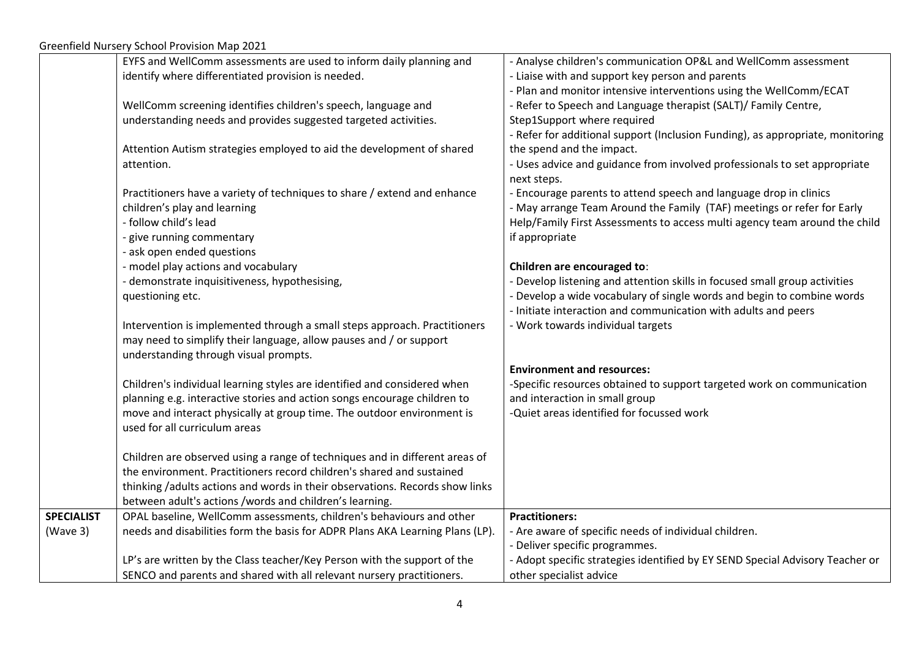|                   | EYFS and WellComm assessments are used to inform daily planning and           | - Analyse children's communication OP&L and WellComm assessment                |
|-------------------|-------------------------------------------------------------------------------|--------------------------------------------------------------------------------|
|                   | identify where differentiated provision is needed.                            | - Liaise with and support key person and parents                               |
|                   |                                                                               | - Plan and monitor intensive interventions using the WellComm/ECAT             |
|                   | WellComm screening identifies children's speech, language and                 | - Refer to Speech and Language therapist (SALT)/ Family Centre,                |
|                   | understanding needs and provides suggested targeted activities.               | Step1Support where required                                                    |
|                   |                                                                               | - Refer for additional support (Inclusion Funding), as appropriate, monitoring |
|                   | Attention Autism strategies employed to aid the development of shared         | the spend and the impact.                                                      |
|                   | attention.                                                                    | - Uses advice and guidance from involved professionals to set appropriate      |
|                   |                                                                               | next steps.                                                                    |
|                   | Practitioners have a variety of techniques to share / extend and enhance      | - Encourage parents to attend speech and language drop in clinics              |
|                   | children's play and learning                                                  | - May arrange Team Around the Family (TAF) meetings or refer for Early         |
|                   | - follow child's lead                                                         | Help/Family First Assessments to access multi agency team around the child     |
|                   | - give running commentary                                                     | if appropriate                                                                 |
|                   | - ask open ended questions                                                    |                                                                                |
|                   | - model play actions and vocabulary                                           | Children are encouraged to:                                                    |
|                   | - demonstrate inquisitiveness, hypothesising,                                 | - Develop listening and attention skills in focused small group activities     |
|                   | questioning etc.                                                              | - Develop a wide vocabulary of single words and begin to combine words         |
|                   |                                                                               | - Initiate interaction and communication with adults and peers                 |
|                   | Intervention is implemented through a small steps approach. Practitioners     | - Work towards individual targets                                              |
|                   | may need to simplify their language, allow pauses and / or support            |                                                                                |
|                   | understanding through visual prompts.                                         |                                                                                |
|                   |                                                                               | <b>Environment and resources:</b>                                              |
|                   | Children's individual learning styles are identified and considered when      | -Specific resources obtained to support targeted work on communication         |
|                   | planning e.g. interactive stories and action songs encourage children to      | and interaction in small group                                                 |
|                   | move and interact physically at group time. The outdoor environment is        | -Quiet areas identified for focussed work                                      |
|                   | used for all curriculum areas                                                 |                                                                                |
|                   |                                                                               |                                                                                |
|                   | Children are observed using a range of techniques and in different areas of   |                                                                                |
|                   | the environment. Practitioners record children's shared and sustained         |                                                                                |
|                   | thinking /adults actions and words in their observations. Records show links  |                                                                                |
|                   | between adult's actions /words and children's learning.                       |                                                                                |
| <b>SPECIALIST</b> | OPAL baseline, WellComm assessments, children's behaviours and other          | <b>Practitioners:</b>                                                          |
| (Wave 3)          | needs and disabilities form the basis for ADPR Plans AKA Learning Plans (LP). | - Are aware of specific needs of individual children.                          |
|                   |                                                                               | - Deliver specific programmes.                                                 |
|                   | LP's are written by the Class teacher/Key Person with the support of the      | - Adopt specific strategies identified by EY SEND Special Advisory Teacher or  |
|                   | SENCO and parents and shared with all relevant nursery practitioners.         | other specialist advice                                                        |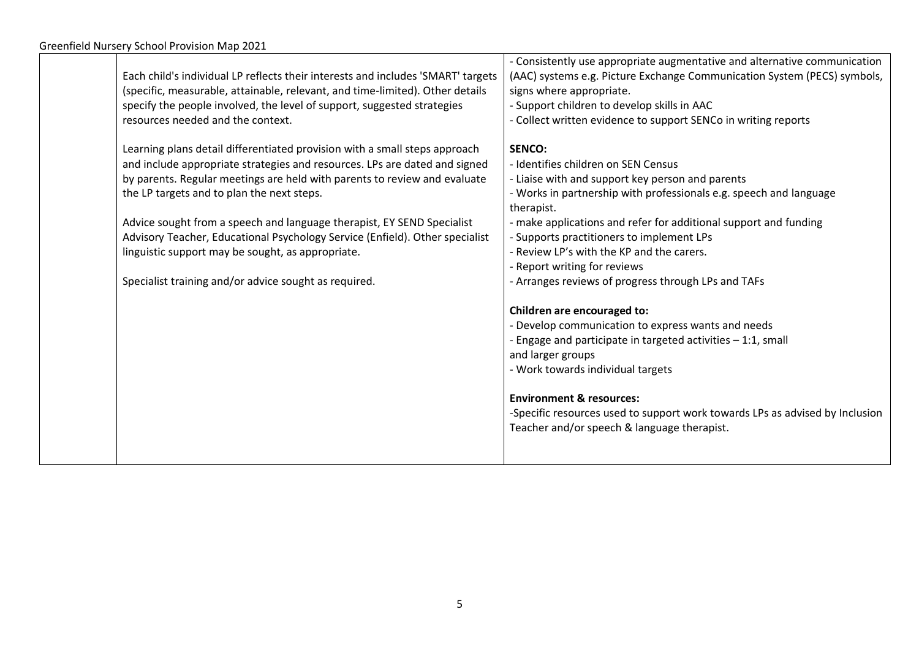| Each child's individual LP reflects their interests and includes 'SMART' targets<br>(specific, measurable, attainable, relevant, and time-limited). Other details<br>specify the people involved, the level of support, suggested strategies<br>resources needed and the context.                                                                                                                                                                                                                                                                           | - Consistently use appropriate augmentative and alternative communication<br>(AAC) systems e.g. Picture Exchange Communication System (PECS) symbols,<br>signs where appropriate.<br>- Support children to develop skills in AAC<br>- Collect written evidence to support SENCo in writing reports                                                                                                                                                                                                                                                                                                                                                                                                                                                                                                                                     |
|-------------------------------------------------------------------------------------------------------------------------------------------------------------------------------------------------------------------------------------------------------------------------------------------------------------------------------------------------------------------------------------------------------------------------------------------------------------------------------------------------------------------------------------------------------------|----------------------------------------------------------------------------------------------------------------------------------------------------------------------------------------------------------------------------------------------------------------------------------------------------------------------------------------------------------------------------------------------------------------------------------------------------------------------------------------------------------------------------------------------------------------------------------------------------------------------------------------------------------------------------------------------------------------------------------------------------------------------------------------------------------------------------------------|
| Learning plans detail differentiated provision with a small steps approach<br>and include appropriate strategies and resources. LPs are dated and signed<br>by parents. Regular meetings are held with parents to review and evaluate<br>the LP targets and to plan the next steps.<br>Advice sought from a speech and language therapist, EY SEND Specialist<br>Advisory Teacher, Educational Psychology Service (Enfield). Other specialist<br>linguistic support may be sought, as appropriate.<br>Specialist training and/or advice sought as required. | <b>SENCO:</b><br>- Identifies children on SEN Census<br>- Liaise with and support key person and parents<br>- Works in partnership with professionals e.g. speech and language<br>therapist.<br>- make applications and refer for additional support and funding<br>- Supports practitioners to implement LPs<br>- Review LP's with the KP and the carers.<br>- Report writing for reviews<br>- Arranges reviews of progress through LPs and TAFs<br>Children are encouraged to:<br>- Develop communication to express wants and needs<br>- Engage and participate in targeted activities - 1:1, small<br>and larger groups<br>- Work towards individual targets<br><b>Environment &amp; resources:</b><br>-Specific resources used to support work towards LPs as advised by Inclusion<br>Teacher and/or speech & language therapist. |
|                                                                                                                                                                                                                                                                                                                                                                                                                                                                                                                                                             |                                                                                                                                                                                                                                                                                                                                                                                                                                                                                                                                                                                                                                                                                                                                                                                                                                        |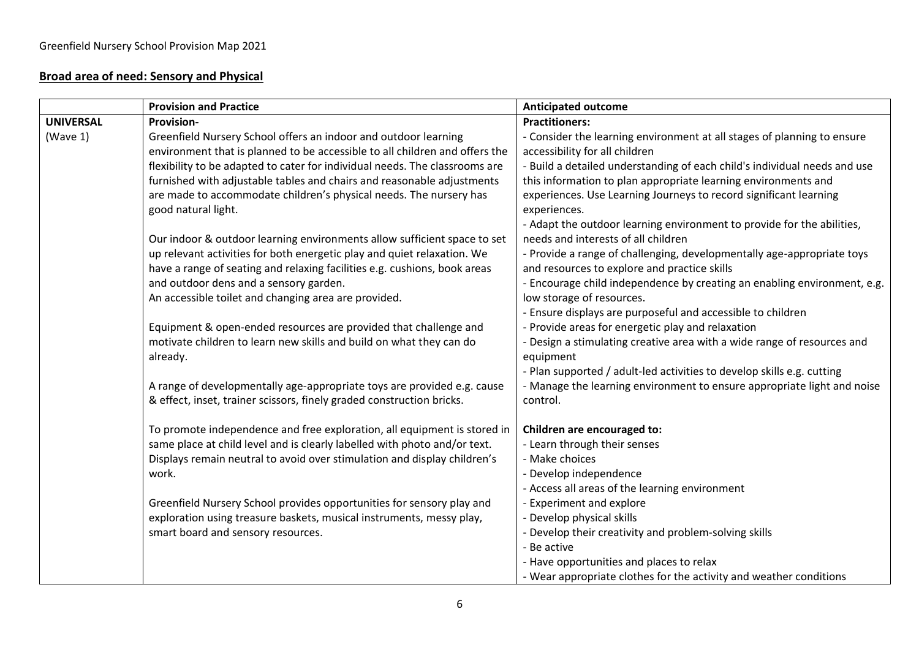## **Broad area of need: Sensory and Physical**

|                  | <b>Provision and Practice</b>                                               | <b>Anticipated outcome</b>                                                        |
|------------------|-----------------------------------------------------------------------------|-----------------------------------------------------------------------------------|
| <b>UNIVERSAL</b> | <b>Provision-</b>                                                           | <b>Practitioners:</b>                                                             |
| (Wave 1)         | Greenfield Nursery School offers an indoor and outdoor learning             | - Consider the learning environment at all stages of planning to ensure           |
|                  | environment that is planned to be accessible to all children and offers the | accessibility for all children                                                    |
|                  | flexibility to be adapted to cater for individual needs. The classrooms are | Build a detailed understanding of each child's individual needs and use           |
|                  | furnished with adjustable tables and chairs and reasonable adjustments      | this information to plan appropriate learning environments and                    |
|                  | are made to accommodate children's physical needs. The nursery has          | experiences. Use Learning Journeys to record significant learning                 |
|                  | good natural light.                                                         | experiences.                                                                      |
|                  |                                                                             | - Adapt the outdoor learning environment to provide for the abilities,            |
|                  | Our indoor & outdoor learning environments allow sufficient space to set    | needs and interests of all children                                               |
|                  | up relevant activities for both energetic play and quiet relaxation. We     | - Provide a range of challenging, developmentally age-appropriate toys            |
|                  | have a range of seating and relaxing facilities e.g. cushions, book areas   | and resources to explore and practice skills                                      |
|                  | and outdoor dens and a sensory garden.                                      | Encourage child independence by creating an enabling environment, e.g.            |
|                  | An accessible toilet and changing area are provided.                        | low storage of resources.                                                         |
|                  |                                                                             | Ensure displays are purposeful and accessible to children                         |
|                  | Equipment & open-ended resources are provided that challenge and            | Provide areas for energetic play and relaxation                                   |
|                  | motivate children to learn new skills and build on what they can do         | Design a stimulating creative area with a wide range of resources and             |
|                  | already.                                                                    | equipment                                                                         |
|                  |                                                                             | Plan supported / adult-led activities to develop skills e.g. cutting              |
|                  | A range of developmentally age-appropriate toys are provided e.g. cause     | Manage the learning environment to ensure appropriate light and noise<br>control. |
|                  | & effect, inset, trainer scissors, finely graded construction bricks.       |                                                                                   |
|                  | To promote independence and free exploration, all equipment is stored in    | Children are encouraged to:                                                       |
|                  | same place at child level and is clearly labelled with photo and/or text.   | - Learn through their senses                                                      |
|                  | Displays remain neutral to avoid over stimulation and display children's    | - Make choices                                                                    |
|                  | work.                                                                       | - Develop independence                                                            |
|                  |                                                                             | - Access all areas of the learning environment                                    |
|                  | Greenfield Nursery School provides opportunities for sensory play and       | <b>Experiment and explore</b>                                                     |
|                  | exploration using treasure baskets, musical instruments, messy play,        | Develop physical skills                                                           |
|                  | smart board and sensory resources.                                          | Develop their creativity and problem-solving skills                               |
|                  |                                                                             | Be active                                                                         |
|                  |                                                                             | - Have opportunities and places to relax                                          |
|                  |                                                                             | - Wear appropriate clothes for the activity and weather conditions                |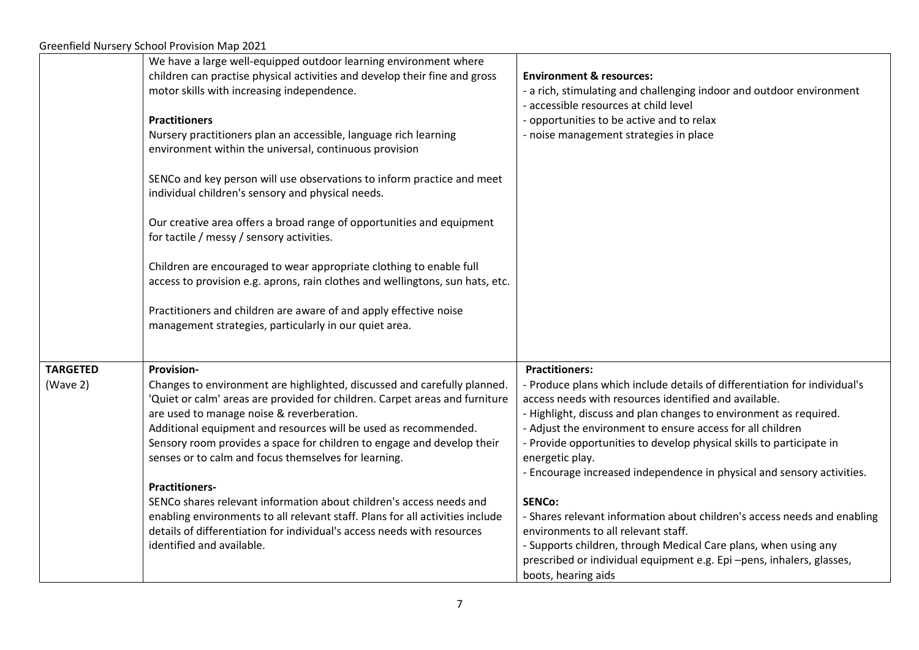|                 | We have a large well-equipped outdoor learning environment where              |                                                                           |
|-----------------|-------------------------------------------------------------------------------|---------------------------------------------------------------------------|
|                 | children can practise physical activities and develop their fine and gross    | <b>Environment &amp; resources:</b>                                       |
|                 | motor skills with increasing independence.                                    | - a rich, stimulating and challenging indoor and outdoor environment      |
|                 |                                                                               | - accessible resources at child level                                     |
|                 | <b>Practitioners</b>                                                          | - opportunities to be active and to relax                                 |
|                 | Nursery practitioners plan an accessible, language rich learning              | - noise management strategies in place                                    |
|                 | environment within the universal, continuous provision                        |                                                                           |
|                 |                                                                               |                                                                           |
|                 | SENCo and key person will use observations to inform practice and meet        |                                                                           |
|                 | individual children's sensory and physical needs.                             |                                                                           |
|                 |                                                                               |                                                                           |
|                 | Our creative area offers a broad range of opportunities and equipment         |                                                                           |
|                 | for tactile / messy / sensory activities.                                     |                                                                           |
|                 |                                                                               |                                                                           |
|                 | Children are encouraged to wear appropriate clothing to enable full           |                                                                           |
|                 | access to provision e.g. aprons, rain clothes and wellingtons, sun hats, etc. |                                                                           |
|                 |                                                                               |                                                                           |
|                 | Practitioners and children are aware of and apply effective noise             |                                                                           |
|                 | management strategies, particularly in our quiet area.                        |                                                                           |
|                 |                                                                               |                                                                           |
|                 |                                                                               |                                                                           |
| <b>TARGETED</b> | <b>Provision-</b>                                                             | <b>Practitioners:</b>                                                     |
| (Wave 2)        | Changes to environment are highlighted, discussed and carefully planned.      | - Produce plans which include details of differentiation for individual's |
|                 | 'Quiet or calm' areas are provided for children. Carpet areas and furniture   | access needs with resources identified and available.                     |
|                 | are used to manage noise & reverberation.                                     | - Highlight, discuss and plan changes to environment as required.         |
|                 | Additional equipment and resources will be used as recommended.               | - Adjust the environment to ensure access for all children                |
|                 | Sensory room provides a space for children to engage and develop their        | - Provide opportunities to develop physical skills to participate in      |
|                 | senses or to calm and focus themselves for learning.                          | energetic play.                                                           |
|                 |                                                                               | - Encourage increased independence in physical and sensory activities.    |
|                 | <b>Practitioners-</b>                                                         |                                                                           |
|                 | SENCo shares relevant information about children's access needs and           | <b>SENCo:</b>                                                             |
|                 | enabling environments to all relevant staff. Plans for all activities include | - Shares relevant information about children's access needs and enabling  |
|                 | details of differentiation for individual's access needs with resources       | environments to all relevant staff.                                       |
|                 | identified and available.                                                     | - Supports children, through Medical Care plans, when using any           |
|                 |                                                                               | prescribed or individual equipment e.g. Epi-pens, inhalers, glasses,      |
|                 |                                                                               |                                                                           |
|                 |                                                                               | boots, hearing aids                                                       |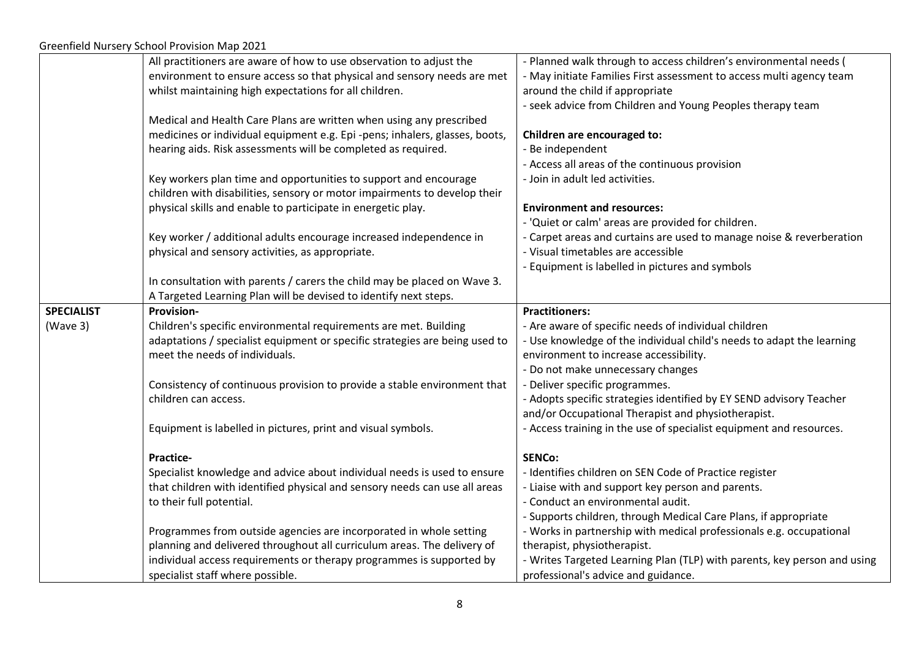|                   | All practitioners are aware of how to use observation to adjust the         | - Planned walk through to access children's environmental needs (        |
|-------------------|-----------------------------------------------------------------------------|--------------------------------------------------------------------------|
|                   | environment to ensure access so that physical and sensory needs are met     | - May initiate Families First assessment to access multi agency team     |
|                   | whilst maintaining high expectations for all children.                      | around the child if appropriate                                          |
|                   |                                                                             | - seek advice from Children and Young Peoples therapy team               |
|                   | Medical and Health Care Plans are written when using any prescribed         |                                                                          |
|                   | medicines or individual equipment e.g. Epi -pens; inhalers, glasses, boots, | Children are encouraged to:                                              |
|                   | hearing aids. Risk assessments will be completed as required.               | - Be independent                                                         |
|                   |                                                                             | - Access all areas of the continuous provision                           |
|                   | Key workers plan time and opportunities to support and encourage            | - Join in adult led activities.                                          |
|                   | children with disabilities, sensory or motor impairments to develop their   |                                                                          |
|                   | physical skills and enable to participate in energetic play.                | <b>Environment and resources:</b>                                        |
|                   |                                                                             | - 'Quiet or calm' areas are provided for children.                       |
|                   | Key worker / additional adults encourage increased independence in          | - Carpet areas and curtains are used to manage noise & reverberation     |
|                   | physical and sensory activities, as appropriate.                            | - Visual timetables are accessible                                       |
|                   |                                                                             | - Equipment is labelled in pictures and symbols                          |
|                   | In consultation with parents / carers the child may be placed on Wave 3.    |                                                                          |
|                   | A Targeted Learning Plan will be devised to identify next steps.            |                                                                          |
| <b>SPECIALIST</b> | <b>Provision-</b>                                                           | <b>Practitioners:</b>                                                    |
| (Wave 3)          | Children's specific environmental requirements are met. Building            | - Are aware of specific needs of individual children                     |
|                   | adaptations / specialist equipment or specific strategies are being used to | - Use knowledge of the individual child's needs to adapt the learning    |
|                   | meet the needs of individuals.                                              | environment to increase accessibility.                                   |
|                   |                                                                             | - Do not make unnecessary changes                                        |
|                   | Consistency of continuous provision to provide a stable environment that    | - Deliver specific programmes.                                           |
|                   | children can access.                                                        | - Adopts specific strategies identified by EY SEND advisory Teacher      |
|                   |                                                                             | and/or Occupational Therapist and physiotherapist.                       |
|                   | Equipment is labelled in pictures, print and visual symbols.                | - Access training in the use of specialist equipment and resources.      |
|                   | Practice-                                                                   | <b>SENCo:</b>                                                            |
|                   | Specialist knowledge and advice about individual needs is used to ensure    | - Identifies children on SEN Code of Practice register                   |
|                   | that children with identified physical and sensory needs can use all areas  | - Liaise with and support key person and parents.                        |
|                   | to their full potential.                                                    | - Conduct an environmental audit.                                        |
|                   |                                                                             | - Supports children, through Medical Care Plans, if appropriate          |
|                   | Programmes from outside agencies are incorporated in whole setting          | - Works in partnership with medical professionals e.g. occupational      |
|                   | planning and delivered throughout all curriculum areas. The delivery of     | therapist, physiotherapist.                                              |
|                   | individual access requirements or therapy programmes is supported by        | - Writes Targeted Learning Plan (TLP) with parents, key person and using |
|                   | specialist staff where possible.                                            | professional's advice and guidance.                                      |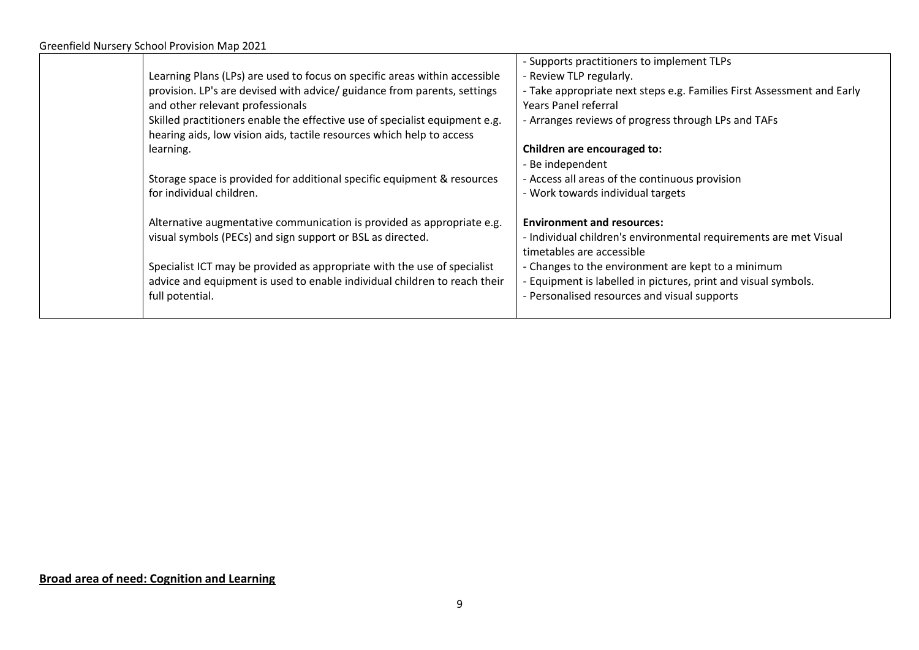| Learning Plans (LPs) are used to focus on specific areas within accessible<br>provision. LP's are devised with advice/ guidance from parents, settings<br>and other relevant professionals<br>Skilled practitioners enable the effective use of specialist equipment e.g.<br>hearing aids, low vision aids, tactile resources which help to access<br>learning.<br>Storage space is provided for additional specific equipment & resources<br>for individual children. | - Supports practitioners to implement TLPs<br>- Review TLP regularly.<br>- Take appropriate next steps e.g. Families First Assessment and Early<br>Years Panel referral<br>- Arranges reviews of progress through LPs and TAFs<br>Children are encouraged to:<br>- Be independent<br>- Access all areas of the continuous provision<br>- Work towards individual targets |
|------------------------------------------------------------------------------------------------------------------------------------------------------------------------------------------------------------------------------------------------------------------------------------------------------------------------------------------------------------------------------------------------------------------------------------------------------------------------|--------------------------------------------------------------------------------------------------------------------------------------------------------------------------------------------------------------------------------------------------------------------------------------------------------------------------------------------------------------------------|
| Alternative augmentative communication is provided as appropriate e.g.<br>visual symbols (PECs) and sign support or BSL as directed.<br>Specialist ICT may be provided as appropriate with the use of specialist<br>advice and equipment is used to enable individual children to reach their<br>full potential.                                                                                                                                                       | <b>Environment and resources:</b><br>- Individual children's environmental requirements are met Visual<br>timetables are accessible<br>- Changes to the environment are kept to a minimum<br>- Equipment is labelled in pictures, print and visual symbols.<br>- Personalised resources and visual supports                                                              |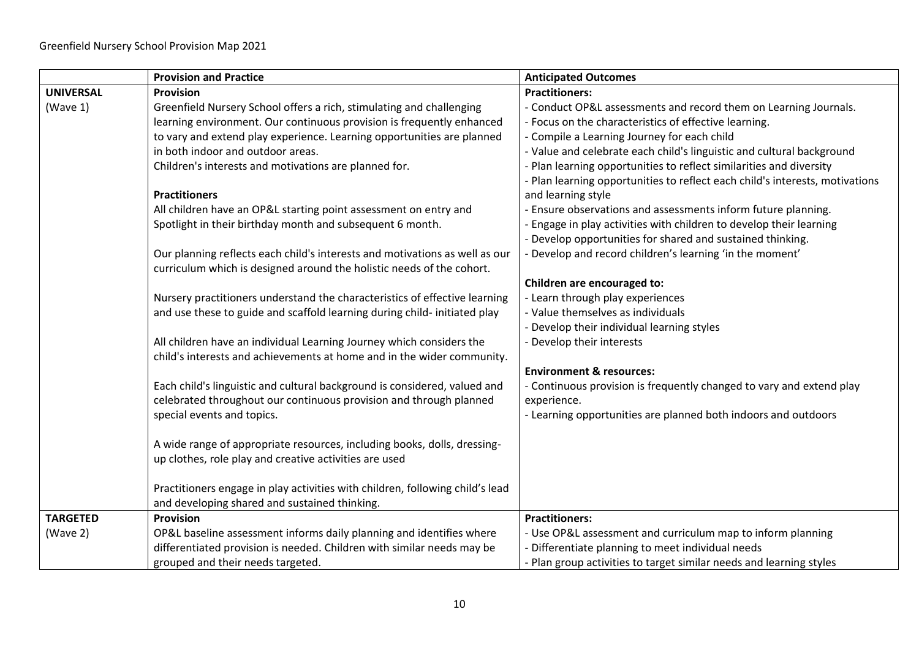|                  | <b>Provision and Practice</b>                                                 | <b>Anticipated Outcomes</b>                                                  |
|------------------|-------------------------------------------------------------------------------|------------------------------------------------------------------------------|
| <b>UNIVERSAL</b> | <b>Provision</b>                                                              | <b>Practitioners:</b>                                                        |
| (Wave 1)         | Greenfield Nursery School offers a rich, stimulating and challenging          | - Conduct OP&L assessments and record them on Learning Journals.             |
|                  | learning environment. Our continuous provision is frequently enhanced         | - Focus on the characteristics of effective learning.                        |
|                  | to vary and extend play experience. Learning opportunities are planned        | - Compile a Learning Journey for each child                                  |
|                  | in both indoor and outdoor areas.                                             | - Value and celebrate each child's linguistic and cultural background        |
|                  | Children's interests and motivations are planned for.                         | - Plan learning opportunities to reflect similarities and diversity          |
|                  |                                                                               | - Plan learning opportunities to reflect each child's interests, motivations |
|                  | <b>Practitioners</b>                                                          | and learning style                                                           |
|                  | All children have an OP&L starting point assessment on entry and              | - Ensure observations and assessments inform future planning.                |
|                  | Spotlight in their birthday month and subsequent 6 month.                     | - Engage in play activities with children to develop their learning          |
|                  |                                                                               | - Develop opportunities for shared and sustained thinking.                   |
|                  | Our planning reflects each child's interests and motivations as well as our   | - Develop and record children's learning 'in the moment'                     |
|                  | curriculum which is designed around the holistic needs of the cohort.         |                                                                              |
|                  |                                                                               | Children are encouraged to:                                                  |
|                  | Nursery practitioners understand the characteristics of effective learning    | - Learn through play experiences                                             |
|                  | and use these to guide and scaffold learning during child- initiated play     | - Value themselves as individuals                                            |
|                  |                                                                               | - Develop their individual learning styles                                   |
|                  | All children have an individual Learning Journey which considers the          | - Develop their interests                                                    |
|                  | child's interests and achievements at home and in the wider community.        |                                                                              |
|                  |                                                                               | <b>Environment &amp; resources:</b>                                          |
|                  | Each child's linguistic and cultural background is considered, valued and     | - Continuous provision is frequently changed to vary and extend play         |
|                  | celebrated throughout our continuous provision and through planned            | experience.                                                                  |
|                  | special events and topics.                                                    | - Learning opportunities are planned both indoors and outdoors               |
|                  |                                                                               |                                                                              |
|                  | A wide range of appropriate resources, including books, dolls, dressing-      |                                                                              |
|                  | up clothes, role play and creative activities are used                        |                                                                              |
|                  |                                                                               |                                                                              |
|                  | Practitioners engage in play activities with children, following child's lead |                                                                              |
|                  | and developing shared and sustained thinking.                                 |                                                                              |
| <b>TARGETED</b>  | <b>Provision</b>                                                              | <b>Practitioners:</b>                                                        |
| (Wave 2)         | OP&L baseline assessment informs daily planning and identifies where          | - Use OP&L assessment and curriculum map to inform planning                  |
|                  | differentiated provision is needed. Children with similar needs may be        | - Differentiate planning to meet individual needs                            |
|                  | grouped and their needs targeted.                                             | - Plan group activities to target similar needs and learning styles          |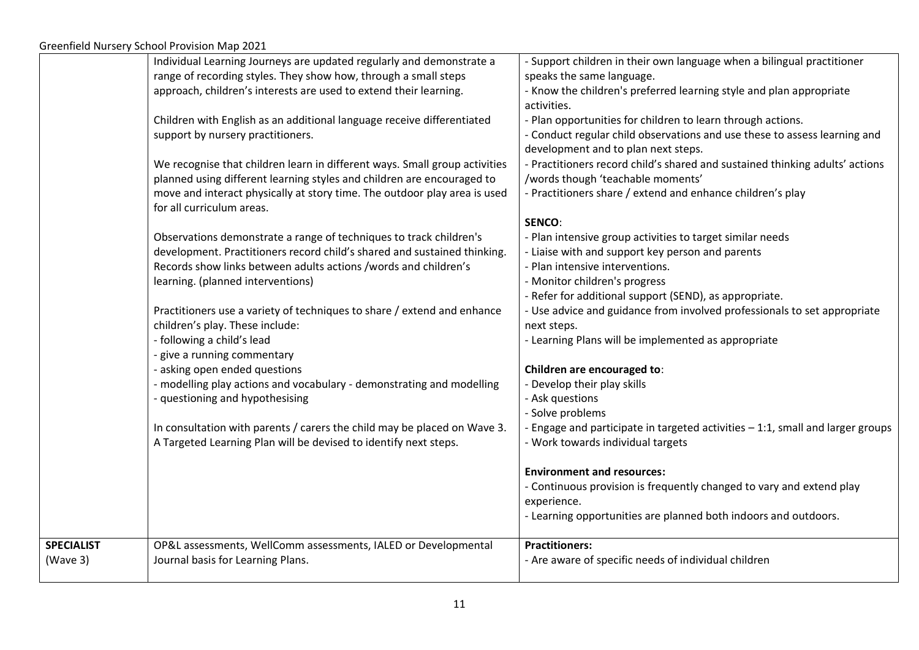|                   | Individual Learning Journeys are updated regularly and demonstrate a       | - Support children in their own language when a bilingual practitioner         |
|-------------------|----------------------------------------------------------------------------|--------------------------------------------------------------------------------|
|                   | range of recording styles. They show how, through a small steps            | speaks the same language.                                                      |
|                   | approach, children's interests are used to extend their learning.          | - Know the children's preferred learning style and plan appropriate            |
|                   |                                                                            | activities.                                                                    |
|                   | Children with English as an additional language receive differentiated     | - Plan opportunities for children to learn through actions.                    |
|                   | support by nursery practitioners.                                          | - Conduct regular child observations and use these to assess learning and      |
|                   |                                                                            | development and to plan next steps.                                            |
|                   | We recognise that children learn in different ways. Small group activities | - Practitioners record child's shared and sustained thinking adults' actions   |
|                   | planned using different learning styles and children are encouraged to     | /words though 'teachable moments'                                              |
|                   | move and interact physically at story time. The outdoor play area is used  | - Practitioners share / extend and enhance children's play                     |
|                   | for all curriculum areas.                                                  |                                                                                |
|                   |                                                                            | <b>SENCO:</b>                                                                  |
|                   | Observations demonstrate a range of techniques to track children's         | - Plan intensive group activities to target similar needs                      |
|                   | development. Practitioners record child's shared and sustained thinking.   | - Liaise with and support key person and parents                               |
|                   | Records show links between adults actions /words and children's            | - Plan intensive interventions.                                                |
|                   | learning. (planned interventions)                                          | - Monitor children's progress                                                  |
|                   |                                                                            | - Refer for additional support (SEND), as appropriate.                         |
|                   | Practitioners use a variety of techniques to share / extend and enhance    | - Use advice and guidance from involved professionals to set appropriate       |
|                   | children's play. These include:                                            | next steps.                                                                    |
|                   | - following a child's lead                                                 | - Learning Plans will be implemented as appropriate                            |
|                   | - give a running commentary                                                |                                                                                |
|                   | - asking open ended questions                                              | Children are encouraged to:                                                    |
|                   | - modelling play actions and vocabulary - demonstrating and modelling      | - Develop their play skills                                                    |
|                   | - questioning and hypothesising                                            | - Ask questions                                                                |
|                   |                                                                            | - Solve problems                                                               |
|                   | In consultation with parents / carers the child may be placed on Wave 3.   | - Engage and participate in targeted activities - 1:1, small and larger groups |
|                   | A Targeted Learning Plan will be devised to identify next steps.           | - Work towards individual targets                                              |
|                   |                                                                            | <b>Environment and resources:</b>                                              |
|                   |                                                                            | - Continuous provision is frequently changed to vary and extend play           |
|                   |                                                                            | experience.                                                                    |
|                   |                                                                            | - Learning opportunities are planned both indoors and outdoors.                |
| <b>SPECIALIST</b> | OP&L assessments, WellComm assessments, IALED or Developmental             | <b>Practitioners:</b>                                                          |
| (Wave 3)          | Journal basis for Learning Plans.                                          | - Are aware of specific needs of individual children                           |
|                   |                                                                            |                                                                                |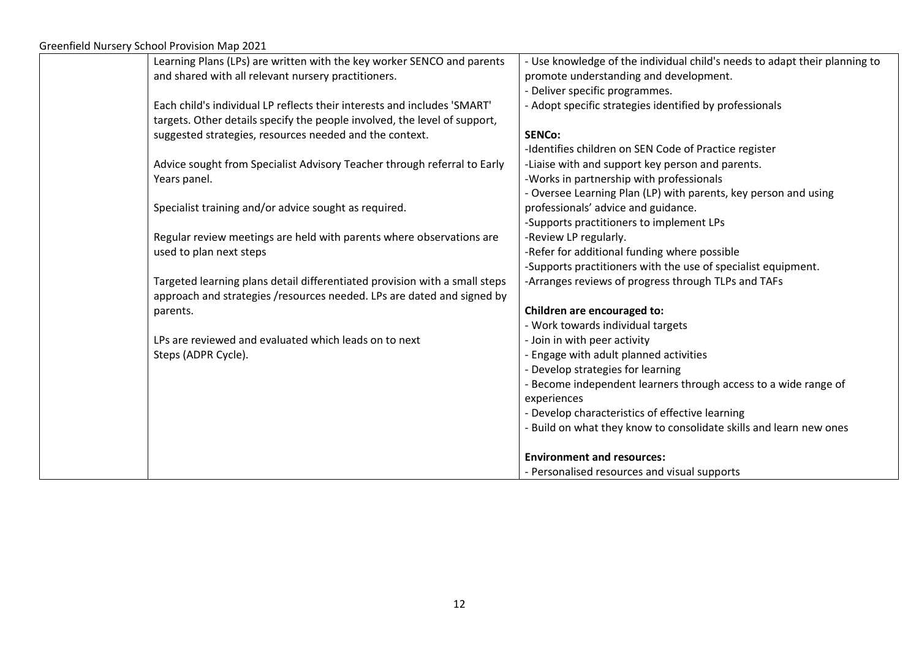| Learning Plans (LPs) are written with the key worker SENCO and parents     | - Use knowledge of the individual child's needs to adapt their planning to |
|----------------------------------------------------------------------------|----------------------------------------------------------------------------|
| and shared with all relevant nursery practitioners.                        | promote understanding and development.                                     |
|                                                                            | - Deliver specific programmes.                                             |
| Each child's individual LP reflects their interests and includes 'SMART'   | - Adopt specific strategies identified by professionals                    |
| targets. Other details specify the people involved, the level of support,  |                                                                            |
| suggested strategies, resources needed and the context.                    | SENCo:                                                                     |
|                                                                            | -Identifies children on SEN Code of Practice register                      |
| Advice sought from Specialist Advisory Teacher through referral to Early   | -Liaise with and support key person and parents.                           |
| Years panel.                                                               | -Works in partnership with professionals                                   |
|                                                                            | - Oversee Learning Plan (LP) with parents, key person and using            |
| Specialist training and/or advice sought as required.                      | professionals' advice and guidance.                                        |
|                                                                            | -Supports practitioners to implement LPs                                   |
| Regular review meetings are held with parents where observations are       | -Review LP regularly.                                                      |
| used to plan next steps                                                    | -Refer for additional funding where possible                               |
|                                                                            | -Supports practitioners with the use of specialist equipment.              |
| Targeted learning plans detail differentiated provision with a small steps | -Arranges reviews of progress through TLPs and TAFs                        |
| approach and strategies /resources needed. LPs are dated and signed by     |                                                                            |
| parents.                                                                   | Children are encouraged to:                                                |
|                                                                            | - Work towards individual targets                                          |
| LPs are reviewed and evaluated which leads on to next                      | - Join in with peer activity                                               |
| Steps (ADPR Cycle).                                                        | - Engage with adult planned activities                                     |
|                                                                            | - Develop strategies for learning                                          |
|                                                                            | - Become independent learners through access to a wide range of            |
|                                                                            | experiences                                                                |
|                                                                            | - Develop characteristics of effective learning                            |
|                                                                            | - Build on what they know to consolidate skills and learn new ones         |
|                                                                            | <b>Environment and resources:</b>                                          |
|                                                                            | - Personalised resources and visual supports                               |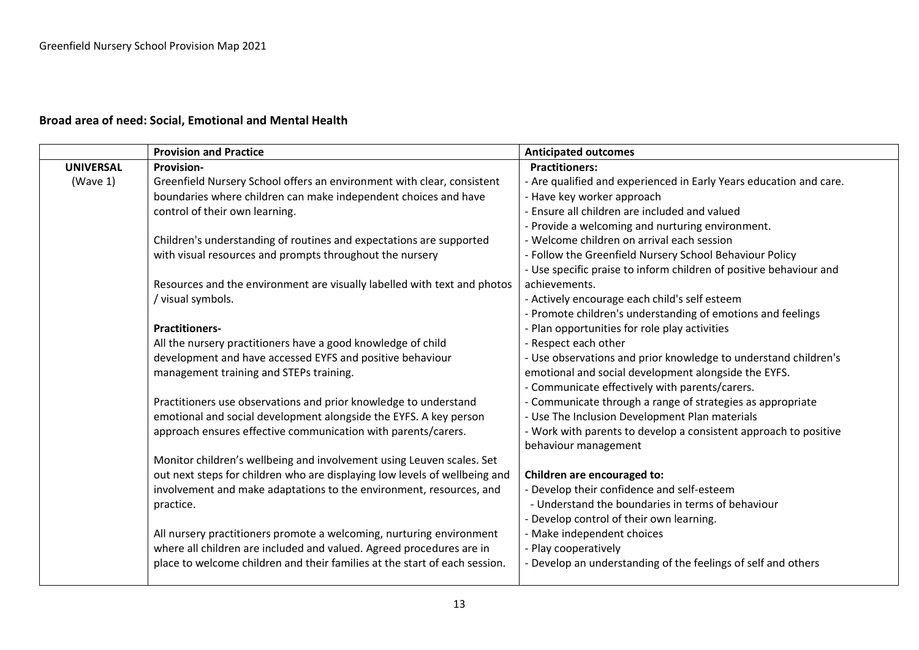## **Broad area of need: Social, Emotional and Mental Health**

|                  | <b>Provision and Practice</b>                                                                                                                      | <b>Anticipated outcomes</b>                                        |
|------------------|----------------------------------------------------------------------------------------------------------------------------------------------------|--------------------------------------------------------------------|
| <b>UNIVERSAL</b> | <b>Provision-</b>                                                                                                                                  | <b>Practitioners:</b>                                              |
| (Wave 1)         | Greenfield Nursery School offers an environment with clear, consistent                                                                             | - Are qualified and experienced in Early Years education and care. |
|                  | boundaries where children can make independent choices and have                                                                                    | - Have key worker approach                                         |
|                  | control of their own learning.                                                                                                                     | - Ensure all children are included and valued                      |
|                  |                                                                                                                                                    | - Provide a welcoming and nurturing environment.                   |
|                  | Children's understanding of routines and expectations are supported                                                                                | - Welcome children on arrival each session                         |
|                  | with visual resources and prompts throughout the nursery                                                                                           | - Follow the Greenfield Nursery School Behaviour Policy            |
|                  |                                                                                                                                                    | - Use specific praise to inform children of positive behaviour and |
|                  | Resources and the environment are visually labelled with text and photos                                                                           | achievements.                                                      |
|                  | / visual symbols.                                                                                                                                  | - Actively encourage each child's self esteem                      |
|                  |                                                                                                                                                    | - Promote children's understanding of emotions and feelings        |
|                  | <b>Practitioners-</b>                                                                                                                              | - Plan opportunities for role play activities                      |
|                  | All the nursery practitioners have a good knowledge of child                                                                                       | - Respect each other                                               |
|                  | development and have accessed EYFS and positive behaviour                                                                                          | - Use observations and prior knowledge to understand children's    |
|                  | management training and STEPs training.                                                                                                            | emotional and social development alongside the EYFS.               |
|                  |                                                                                                                                                    | - Communicate effectively with parents/carers.                     |
|                  | Practitioners use observations and prior knowledge to understand                                                                                   | - Communicate through a range of strategies as appropriate         |
|                  | emotional and social development alongside the EYFS. A key person                                                                                  | - Use The Inclusion Development Plan materials                     |
|                  | approach ensures effective communication with parents/carers.                                                                                      | - Work with parents to develop a consistent approach to positive   |
|                  |                                                                                                                                                    | behaviour management                                               |
|                  | Monitor children's wellbeing and involvement using Leuven scales. Set                                                                              |                                                                    |
|                  | out next steps for children who are displaying low levels of wellbeing and                                                                         | Children are encouraged to:                                        |
|                  | involvement and make adaptations to the environment, resources, and                                                                                | - Develop their confidence and self-esteem                         |
|                  | practice.                                                                                                                                          | - Understand the boundaries in terms of behaviour                  |
|                  |                                                                                                                                                    | - Develop control of their own learning.                           |
|                  | All nursery practitioners promote a welcoming, nurturing environment                                                                               | - Make independent choices                                         |
|                  | where all children are included and valued. Agreed procedures are in<br>place to welcome children and their families at the start of each session. | - Play cooperatively                                               |
|                  |                                                                                                                                                    | - Develop an understanding of the feelings of self and others      |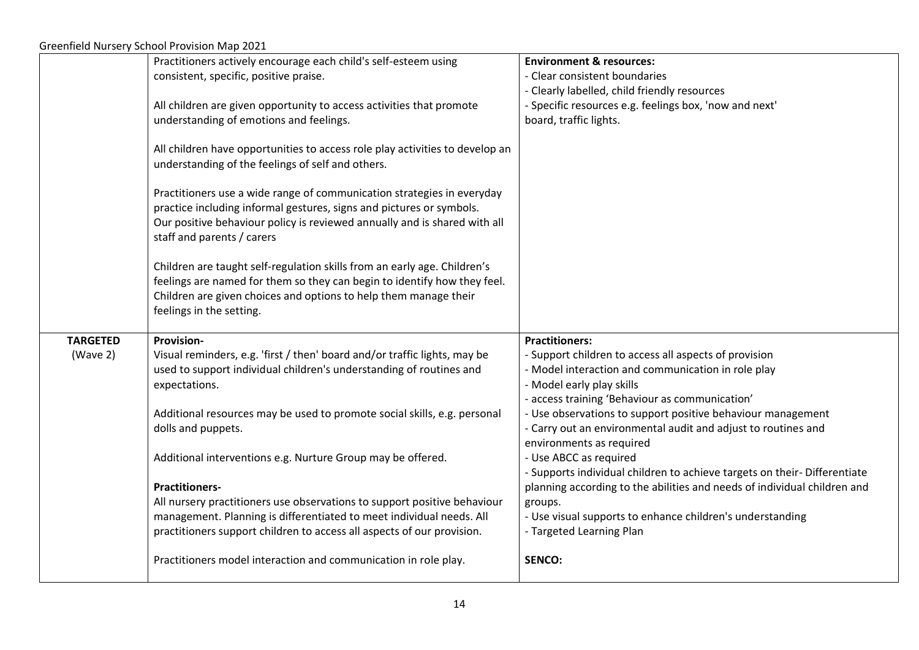|                 | Practitioners actively encourage each child's self-esteem using              | <b>Environment &amp; resources:</b>                                      |  |  |
|-----------------|------------------------------------------------------------------------------|--------------------------------------------------------------------------|--|--|
|                 | consistent, specific, positive praise.                                       | - Clear consistent boundaries                                            |  |  |
|                 |                                                                              | - Clearly labelled, child friendly resources                             |  |  |
|                 | All children are given opportunity to access activities that promote         | - Specific resources e.g. feelings box, 'now and next'                   |  |  |
|                 | understanding of emotions and feelings.                                      | board, traffic lights.                                                   |  |  |
|                 |                                                                              |                                                                          |  |  |
|                 | All children have opportunities to access role play activities to develop an |                                                                          |  |  |
|                 | understanding of the feelings of self and others.                            |                                                                          |  |  |
|                 |                                                                              |                                                                          |  |  |
|                 | Practitioners use a wide range of communication strategies in everyday       |                                                                          |  |  |
|                 | practice including informal gestures, signs and pictures or symbols.         |                                                                          |  |  |
|                 | Our positive behaviour policy is reviewed annually and is shared with all    |                                                                          |  |  |
|                 | staff and parents / carers                                                   |                                                                          |  |  |
|                 |                                                                              |                                                                          |  |  |
|                 | Children are taught self-regulation skills from an early age. Children's     |                                                                          |  |  |
|                 | feelings are named for them so they can begin to identify how they feel.     |                                                                          |  |  |
|                 | Children are given choices and options to help them manage their             |                                                                          |  |  |
|                 | feelings in the setting.                                                     |                                                                          |  |  |
|                 |                                                                              |                                                                          |  |  |
| <b>TARGETED</b> | <b>Provision-</b>                                                            | <b>Practitioners:</b>                                                    |  |  |
| (Wave 2)        | Visual reminders, e.g. 'first / then' board and/or traffic lights, may be    | - Support children to access all aspects of provision                    |  |  |
|                 | used to support individual children's understanding of routines and          | - Model interaction and communication in role play                       |  |  |
|                 | expectations.                                                                | - Model early play skills                                                |  |  |
|                 |                                                                              | - access training 'Behaviour as communication'                           |  |  |
|                 | Additional resources may be used to promote social skills, e.g. personal     | - Use observations to support positive behaviour management              |  |  |
|                 | dolls and puppets.                                                           | - Carry out an environmental audit and adjust to routines and            |  |  |
|                 |                                                                              | environments as required                                                 |  |  |
|                 | Additional interventions e.g. Nurture Group may be offered.                  | - Use ABCC as required                                                   |  |  |
|                 |                                                                              | - Supports individual children to achieve targets on their-Differentiate |  |  |
|                 | <b>Practitioners-</b>                                                        | planning according to the abilities and needs of individual children and |  |  |
|                 | All nursery practitioners use observations to support positive behaviour     | groups.                                                                  |  |  |
|                 | management. Planning is differentiated to meet individual needs. All         | - Use visual supports to enhance children's understanding                |  |  |
|                 | practitioners support children to access all aspects of our provision.       | - Targeted Learning Plan                                                 |  |  |
|                 |                                                                              |                                                                          |  |  |
|                 | Practitioners model interaction and communication in role play.              | <b>SENCO:</b>                                                            |  |  |
|                 |                                                                              |                                                                          |  |  |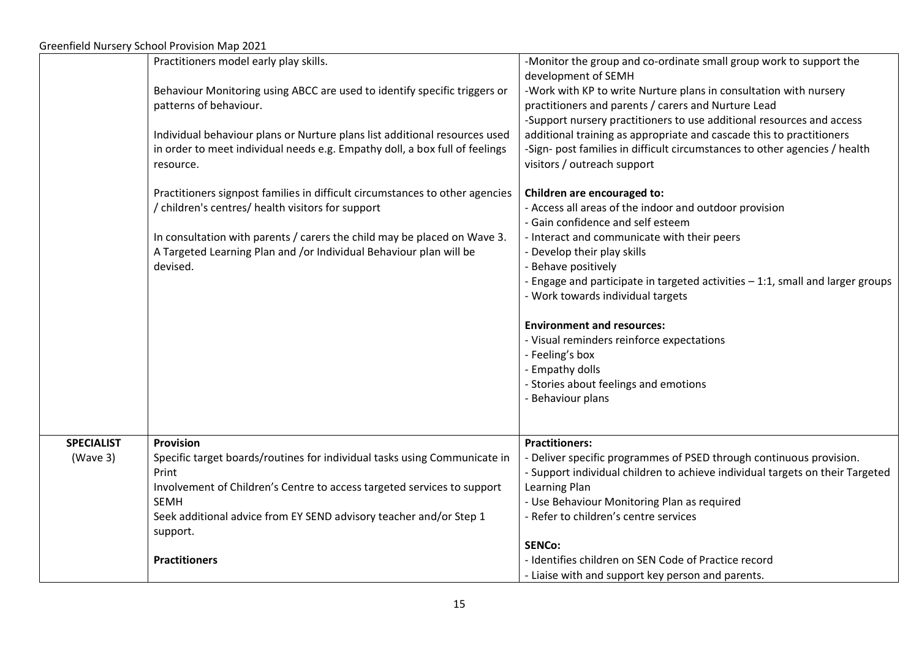|                   | 8021111010 1101301 1 2011001 1 101131011 11100 2021                            |                                                                                           |
|-------------------|--------------------------------------------------------------------------------|-------------------------------------------------------------------------------------------|
|                   | Practitioners model early play skills.                                         | -Monitor the group and co-ordinate small group work to support the<br>development of SEMH |
|                   | Behaviour Monitoring using ABCC are used to identify specific triggers or      | -Work with KP to write Nurture plans in consultation with nursery                         |
|                   | patterns of behaviour.                                                         | practitioners and parents / carers and Nurture Lead                                       |
|                   |                                                                                | -Support nursery practitioners to use additional resources and access                     |
|                   | Individual behaviour plans or Nurture plans list additional resources used     | additional training as appropriate and cascade this to practitioners                      |
|                   | in order to meet individual needs e.g. Empathy doll, a box full of feelings    | -Sign- post families in difficult circumstances to other agencies / health                |
|                   | resource.                                                                      | visitors / outreach support                                                               |
|                   | Practitioners signpost families in difficult circumstances to other agencies   | Children are encouraged to:                                                               |
|                   | / children's centres/ health visitors for support                              | - Access all areas of the indoor and outdoor provision                                    |
|                   |                                                                                | - Gain confidence and self esteem                                                         |
|                   | In consultation with parents / carers the child may be placed on Wave 3.       | - Interact and communicate with their peers                                               |
|                   | A Targeted Learning Plan and /or Individual Behaviour plan will be             | - Develop their play skills                                                               |
|                   | devised.                                                                       | - Behave positively                                                                       |
|                   |                                                                                | - Engage and participate in targeted activities - 1:1, small and larger groups            |
|                   |                                                                                | - Work towards individual targets                                                         |
|                   |                                                                                | <b>Environment and resources:</b>                                                         |
|                   |                                                                                | - Visual reminders reinforce expectations                                                 |
|                   |                                                                                | - Feeling's box                                                                           |
|                   |                                                                                | - Empathy dolls                                                                           |
|                   |                                                                                | - Stories about feelings and emotions                                                     |
|                   |                                                                                | - Behaviour plans                                                                         |
|                   |                                                                                |                                                                                           |
| <b>SPECIALIST</b> | Provision                                                                      | <b>Practitioners:</b>                                                                     |
| (Wave 3)          | Specific target boards/routines for individual tasks using Communicate in      | - Deliver specific programmes of PSED through continuous provision.                       |
|                   | Print                                                                          | - Support individual children to achieve individual targets on their Targeted             |
|                   | Involvement of Children's Centre to access targeted services to support        | Learning Plan                                                                             |
|                   | <b>SEMH</b>                                                                    | - Use Behaviour Monitoring Plan as required                                               |
|                   | Seek additional advice from EY SEND advisory teacher and/or Step 1<br>support. | - Refer to children's centre services                                                     |
|                   |                                                                                | <b>SENCo:</b>                                                                             |
|                   | <b>Practitioners</b>                                                           | - Identifies children on SEN Code of Practice record                                      |
|                   |                                                                                | - Liaise with and support key person and parents.                                         |